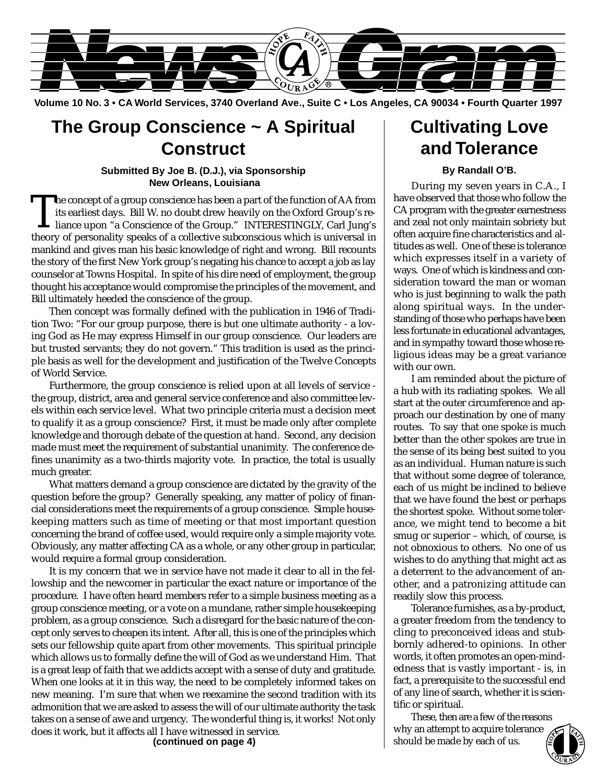

**Volume 10 No. 3 • CA World Services, 3740 Overland Ave., Suite C • Los Angeles, CA 90034 • Fourth Quarter 1997**

## **The Group Conscience ~ A Spiritual Construct**

#### **Submitted By Joe B. (D.J.), via Sponsorship New Orleans, Louisiana**

The concept of a group conscience has been a part of the function of AA from<br>its earliest days. Bill W. no doubt drew heavily on the Oxford Group's re-<br>liance upon "a Conscience of the Group." INTERESTINGLY, Carl Jung's<br>th its earliest days. Bill W. no doubt drew heavily on the Oxford Group's retheory of personality speaks of a collective subconscious which is universal in mankind and gives man his basic knowledge of right and wrong. Bill recounts the story of the first New York group's negating his chance to accept a job as lay counselor at Towns Hospital. In spite of his dire need of employment, the group thought his acceptance would compromise the principles of the movement, and Bill ultimately heeded the conscience of the group.

Then concept was formally defined with the publication in 1946 of Tradition Two: "For our group purpose, there is but one ultimate authority - a loving God as He may express Himself in our group conscience. Our leaders are but trusted servants; they do not govern." This tradition is used as the principle basis as well for the development and justification of the Twelve Concepts of World Service.

Furthermore, the group conscience is relied upon at all levels of service the group, district, area and general service conference and also committee levels within each service level. What two principle criteria must a decision meet to qualify it as a group conscience? First, it must be made only after complete knowledge and thorough debate of the question at hand. Second, any decision made must meet the requirement of substantial unanimity. The conference defines unanimity as a two-thirds majority vote. In practice, the total is usually much greater.

What matters demand a group conscience are dictated by the gravity of the question before the group? Generally speaking, any matter of policy of financial considerations meet the requirements of a group conscience. Simple housekeeping matters such as time of meeting or that most important question concerning the brand of coffee used, would require only a simple majority vote. Obviously, any matter affecting CA as a whole, or any other group in particular, would require a formal group consideration.

It is my concern that we in service have not made it clear to all in the fellowship and the newcomer in particular the exact nature or importance of the procedure. I have often heard members refer to a simple business meeting as a group conscience meeting, or a vote on a mundane, rather simple housekeeping problem, as a group conscience. Such a disregard for the basic nature of the concept only serves to cheapen its intent. After all, this is one of the principles which sets our fellowship quite apart from other movements. This spiritual principle which allows us to formally define the will of God as we understand Him. That is a great leap of faith that we addicts accept with a sense of duty and gratitude. When one looks at it in this way, the need to be completely informed takes on new meaning. I'm sure that when we reexamine the second tradition with its admonition that we are asked to assess the will of our ultimate authority the task takes on a sense of awe and urgency. The wonderful thing is, it works! Not only does it work, but it affects all I have witnessed in service.

## **Cultivating Love and Tolerance**

#### **By Randall O'B.**

During my seven years in C.A., I have observed that those who follow the CA program with the greater earnestness and zeal not only maintain sobriety but often acquire fine characteristics and altitudes as well. One of these is tolerance which expresses itself in a variety of ways. One of which is kindness and consideration toward the man or woman who is just beginning to walk the path along spiritual ways. In the understanding of those who perhaps have been less fortunate in educational advantages, and in sympathy toward those whose religious ideas may be a great variance with our own.

I am reminded about the picture of a hub with its radiating spokes. We all start at the outer circumference and approach our destination by one of many routes. To say that one spoke is much better than the other spokes are true in the sense of its being best suited to you as an individual. Human nature is such that without some degree of tolerance, each of us might be inclined to believe that we have found the best or perhaps the shortest spoke. Without some tolerance, we might tend to become a bit smug or superior – which, of course, is not obnoxious to others. No one of us wishes to do anything that might act as a deterrent to the advancement of another, and a patronizing attitude can readily slow this process.

Tolerance furnishes, as a by-product, a greater freedom from the tendency to cling to preconceived ideas and stubbornly adhered-to opinions. In other words, it often promotes an open-mindedness that is vastly important - is, in fact, a prerequisite to the successful end of any line of search, whether it is scientific or spiritual.

These, then are a few of the reasons why an attempt to acquire tolerance should be made by each of us.

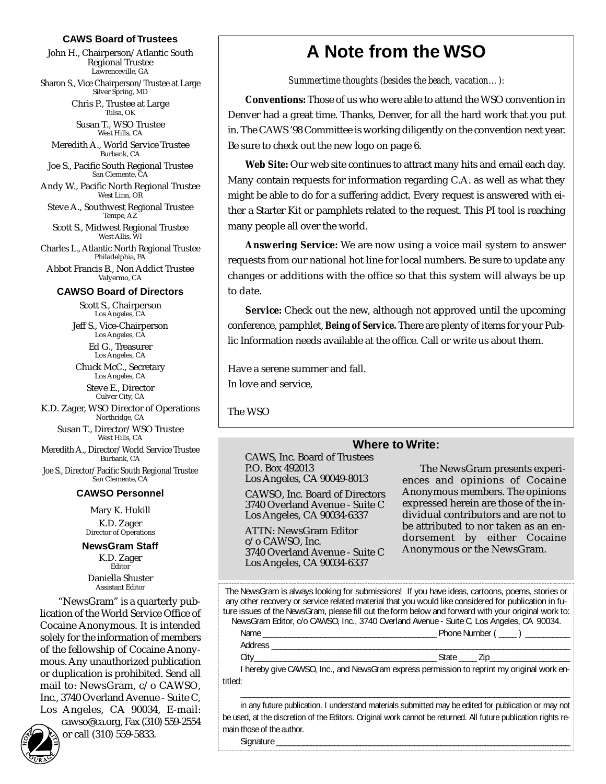#### **CAWS Board of Trustees**

John H., Chairperson/Atlantic South Regional Trustee Lawrenceville, GA

Sharon S., Vice Chairperson/Trustee at Large Silver Spring, MD

> Chris P., Trustee at Large Tulsa, OK

Susan T., WSO Trustee West Hills, CA

Meredith A., World Service Trustee Burbank, CA

Joe S., Pacific South Regional Trustee San Clemente, CA

Andy W., Pacific North Regional Trustee West Linn, OR

Steve A., Southwest Regional Trustee Tempe, AZ

Scott S., Midwest Regional Trustee West Allis, WI

Charles L., Atlantic North Regional Trustee Philadelphia, PA Abbot Francis B., Non Addict Trustee Valyermo, CA

#### **CAWSO Board of Directors**

Scott S., Chairperson Los Angeles, CA

Jeff S., Vice-Chairperson Los Angeles, CA Ed G., Treasurer

Los Angeles, CA Chuck McC., Secretary

Los Angeles, CA Steve E., Director Culver City, CA

K.D. Zager, WSO Director of Operations Northridge, CA

Susan T., Director/WSO Trustee West Hills, CA

Meredith A., Director/World Service Trustee Burbank, CA

Joe S., Director/Pacific South Regional Trustee San Clemente, CA

#### **CAWSO Personnel**

Mary K. Hukill K.D. Zager Director of Operations

**NewsGram Staff** K.D. Zager Editor

Daniella Shuster Assistant Editor

"NewsGram" is a quarterly publication of the World Service Office of Cocaine Anonymous. It is intended solely for the information of members of the fellowship of Cocaine Anonymous. Any unauthorized publication or duplication is prohibited. Send all mail to: NewsGram, c/o CAWSO, Inc., 3740 Overland Avenue - Suite C, Los Angeles, CA 90034, E-mail: cawso@ca.org, Fax (310) 559-2554

or call (310) 559-5833.

## **A Note from the WSO**

*Summertime thoughts (besides the beach, vacation…):*

**Conventions:** Those of us who were able to attend the WSO convention in Denver had a great time. Thanks, Denver, for all the hard work that you put in. The CAWS '98 Committee is working diligently on the convention next year. Be sure to check out the new logo on page 6.

**Web Site:** Our web site continues to attract many hits and email each day. Many contain requests for information regarding C.A. as well as what they might be able to do for a suffering addict. Every request is answered with either a Starter Kit or pamphlets related to the request. This PI tool is reaching many people all over the world.

**Answering Service:** We are now using a voice mail system to answer requests from our national hot line for local numbers. Be sure to update any changes or additions with the office so that this system will always be up to date.

**Service:** Check out the new, although not approved until the upcoming conference, pamphlet, *Being of Service.* There are plenty of items for your Public Information needs available at the office. Call or write us about them.

Have a serene summer and fall. In love and service,

The WSO

#### **Where to Write:**

CAWS, Inc. Board of Trustees P.O. Box 492013 Los Angeles, CA 90049-8013

CAWSO, Inc. Board of Directors 3740 Overland Avenue - Suite C Los Angeles, CA 90034-6337

ATTN: NewsGram Editor c/o CAWSO, Inc. 3740 Overland Avenue - Suite C Los Angeles, CA 90034-6337

The NewsGram presents experiences and opinions of Cocaine Anonymous members. The opinions expressed herein are those of the individual contributors and are not to be attributed to nor taken as an endorsement by either Cocaine Anonymous or the NewsGram.

The NewsGram is always looking for submissions! If you have ideas, cartoons, poems, stories or any other recovery or service related material that you would like considered for publication in future issues of the NewsGram, please fill out the form below and forward with your original work to: NewsGram Editor, c/o CAWSO, Inc., 3740 Overland Avenue - Suite C, Los Angeles, CA 90034.

@@@@@@@@e?@@@@@@@@?e@@@@@@@@e?@@@@@@@@?e@@@@@@@@e?@@@@@@@@?e@@@@@@@@e?@@@@@@@@?e@@@@@@@@e?@@@@@@@@?e@@@@@@@@e?@@@@@@@@?e@@@@@@@@e?@@@@@@@@?e@@@@@@@@e?@@@@@@@@?e@@@@@@@@e?@@@@@@@@?e@@@@@@@@e?@@@@@@@@?e@@@@@@@@e?@@@@@@@@?e@@@@@@@@e?@@@@@@@@?e@@@@@@@@e?@@@@@@@@?e@@@@@@@@e?@@@@@@@@?e@@@@@@@@e?@@@@@@@@?e@@@@@@@@e?@@@@@@@@?e@@@@@@@@e?@@@@@@@@?e@@@@@@@@e?@@@@@@@@?e@@@@@@@@e?@@@@@@@@?e@@@@@@@@e?@@@@@@@@?e@@@@@@@@e?@@@@@@@@?e@@@@@@@@e?@@@@@@@@?e@@@@@@@@e?@@@@@@@@?e@@@@@@@@e?@@@@@@@@?e@@@@@@@@e?@@@@@@@@?e@@@@@@@@e?@@@@@@@@?e@@@@@@@@e?@@@@@@@@?e@@@@@@@@e?@@@@@@@@?e@@@@@@@@e?@@@@@@@@?e@@@@@@@@e?@@@@@@@@?e@@@@@@@@e?@@@@@@@@?e@@@@@@@@e?@@@@@@@@?e@@@@@@@@e?@@@@@@@@?e@@@@@@@@e?@@@@@@@@?e@@@@@@@@e?@@@@@@@@?e@@@@@@@@e?@@@@@@@@?e@@@@@@@@e?@@@@@@@@?e@@@@@@@@e?@@@@@@@@? @@@@@@@@e?@@@@@@@@?e@@@@@@@@e?@@@@@@@@?e@@@@@@@@e?@@@@@@@@?e@@@@@@@@e?@@@@@@@@?e@@@@@@@@e?@@@@@@@@?e@@@@@@@@e?@@@@@@@@?e@@@@@@@@e?@@@@@@@@?e@@@@@@@@e?@@@@@@@@?e@@@@@@@@e?@@@@@@@@?e@@@@@@@@e?@@@@@@@@?e@@@@@@@@e?@@@@@@@@?e@@@@@@@@e?@@@@@@@@?e@@@@@@@@e?@@@@@@@@?e@@@@@@@@e?@@@@@@@@?e@@@@@@@@e?@@@@@@@@?e@@@@@@@@e?@@@@@@@@?e@@@@@@@@e?@@@@@@@@?e@@@@@@@@e?@@@@@@@@?e@@@@@@@@e?@@@@@@@@?e@@@@@@@@e?@@@@@@@@?e@@@@@@@@e?@@@@@@@@?e@@@@@@@@e?@@@@@@@@?e@@@@@@@@e?@@@@@@@@?e@@@@@@@@e?@@@@@@@@?e@@@@@@@@e?@@@@@@@@?e@@@@@@@@e?@@@@@@@@?e@@@@@@@@e? @@@@@@@@e?@@@@@@@@?e@@@@@@@@e?@@@@@@@@?e@@@@@@@@e?@@@@@@@@?e@@@@@@@@e?@@@@@@@@?e@@@@@@@@e?@@@@@@@@?e@@@@@@@@e?@@@@@@@@?e@@@@@@@@e?@@@@@@@@?e@@@@@@@@e?@@@@@@@@?e@@@@@@@@e?@@@@@@@@?e@@@@@@@@e?@@@@@@@@?e@@@@@@@@e?@@@@@@@@?e@@@@@@@@e?@@@@@@@@?e@@@@@@@@e?@@@@@@@@?e@@@@@@@@e?@@@@@@@@?e@@@@@@@@e?@@@@@@@@?e@@@@@@@@e?@@@@@@@@?e@@@@@@@@e?@@@@@@@@?e@@@@@@@@e?@@@@@@@@?e@@@@@@@@e?@@@@@@@@?e@@@@@@@@e?@@@@@@@@?e@@@@@@@@e?@@@@@@@@?e@@@@@@@@e?@@@@@@@@?e@@@@@@@@e?@@@@@@@@?e@@@@@@@@e?@@@@@@@@?e@@@@@@@@e?@@@@@@@@?e@@@@@@@@e?@@@@@@@@?e@@@@@@@@e?@@@@@@@@?e@@@@@@@@e?@@@@@@@@?e@@@@@@@@e?@@@@@@@@?e@@@@@@@@e?@@@@@@@@?e@@@@@@@@e?@@@@@@@@?e@@@@@@@@e?@@@@@@@@?e@@@@@@@@e?@@@@@@@@?e@@@@@@@@e?@@@@@@@@?e@@@@@@@@e?@@@@@@@@?e@@@@@@@@e?@@@@@@@@?e@@@@@@@@e?@@@@@@@@?e@@@@@@@@e?@@@@@@@@? @@@@@@@@e?@@@@@@@@?e@@@@@@@@e?@@@@@@@@?e@@@@@@@@e?@@@@@@@@?e@@@@@@@@e?@@@@@@@@?e@@@@@@@@e?@@@@@@@@?e@@@@@@@@e?@@@@@@@@?e@@@@@@@@e?@@@@@@@@?e@@@@@@@@e?@@@@@@@@?e@@@@@@@@e?@@@@@@@@?e@@@@@@@@e?@@@@@@@@?e@@@@@@@@e?@@@@@@@@?e@@@@@@@@e?@@@@@@@@?e@@@@@@@@e?@@@@@@@@?e@@@@@@@@e?@@@@@@@@?e@@@@@@@@e?@@@@@@@@?e@@@@@@@@e?@@@@@@@@?e@@@@@@@@e?@@@@@@@@?e@@@@@@@@e?@@@@@@@@?e@@@@@@@@e?@@@@@@@@?e@@@@@@@@e?@@@@@@@@?e@@@@@@@@e?@@@@@@@@?e@@@@@@@@e?@@@@@@@@?e@@@@@@@@e?@@@@@@@@?e@@@@@@@@e?@@@@@@@@?e@@@@@@@@e?@@@@@@@@?e@@@@@@@@e?@@@@@@@@?e@@@@@@@@e?@@@@@@@@ @@@@@@@@@@@@@@@@@@@@

Name **Number (**  $\blacksquare$  ) Address \_\_\_\_\_\_\_\_\_\_\_\_\_\_\_\_\_\_\_\_\_\_\_\_\_\_\_\_\_\_\_\_\_\_\_\_\_\_\_\_\_\_\_\_\_\_\_\_\_\_\_\_\_\_\_\_\_\_\_\_\_\_\_\_\_\_\_

 $\overline{\phantom{a}}$ 

@@g@@g@@g@@g@@g@@g@@@@@@@@ @@@@@@@@

City\_\_\_\_\_\_\_\_\_\_\_\_\_\_\_\_\_\_\_\_\_\_\_\_\_\_\_\_\_\_\_\_\_\_\_\_\_\_\_\_\_ State \_\_\_\_ Zip\_\_\_\_\_\_\_\_\_\_\_\_\_\_\_\_\_\_

I hereby give CAWSO, Inc., and NewsGram express permission to reprint my original work entitled:

in any future publication. I understand materials submitted may be edited for publication or may not be used, at the discretion of the Editors. Original work cannot be returned. All future publication rights remain those of the author.

?@@ ?@@ ?@@?@@ ?@@?@@@@@@@@?@@@@@@@@?e@@@@@@@@e?@@@@@@@@?e@@@@@@@@e?@@@@@@@@?e@@@@@@@@e?@@@@@@@@?e@@@@@@@@e?@@@@@@@@?e@@@@@@@@e?@@@@@@@@?e@@@@@@@@e?@@@@@@@@?e@@@@@@@@e?@@@@@@@@?e@@@@@@@@e?@@@@@@@@?e@@@@@@@@e?@@@@@@@@?e@@@@@@@@e?@@@@@@@@?e@@@@@@@@e?@@@@@@@@?e@@@@@@@@e?@@@@@@@@?e@@@@@@@@e?@@@@@@@@?e@@@@@@@@e?@@@@@@@@?e@@@@@@@@e?@@@@@@@@?e@@@@@@@@e?@@@@@@@@?e@@@@@@@@e?@@@@@@@@?e@@@@@@@@e?@@@@@@@@?e@@@@@@@@e?@@@@@@@@?e@@@@@@@@e?@@@@@@@@?e@@@@@@@@e?@@@@@@@@?e@@@@@@@@e?@@@@@@@@?e@@@@@@@@e?@@@@@@@@?e@@@@@@@@e?@@@@@@@@?e@@@@@@@@e?@@@@@@@@?e@@@@@@@@e?@@@@@@@@?e@@@@@@@@e?@@@@@@@@?e@@@@@@@@e?@@@@@@@@?e@@@@@@@@e?@@@@@@@@?e@@@@@@@@e?@@@@@@@@?e@@@@@@@@e?@@@@@@@@?e@@@@@@@@e?@@@@@@@@?e@@@@@@@@e?@@@@@@@@?e@@@@@@@@e?@@@@@@@@?e@@@@@@@@e?@@@@@@@@?e@@@@@@@@e?@@@@@@@@?e@@@@@@@@e?@@@@@@@@?e@@@@@@@@ ?@@@@@@@@?e@@@@@@@@e?@@@@@@@@?e@@@@@@@@e?@@@@@@@@?e@@@@@@@@e?@@@@@@@@?e@@@@@@@@e?@@@@@@@@?e@@@@@@@@e?@@@@@@@@?e@@@@@@@@e?@@@@@@@@?e@@@@@@@@e?@@@@@@@@?e@@@@@@@@e?@@@@@@@@?e@@@@@@@@e?@@@@@@@@?e@@@@@@@@e?@@@@@@@@?e@@@@@@@@e?@@@@@@@@?e@@@@@@@@e?@@@@@@@@?e@@@@@@@@e?@@@@@@@@?e@@@@@@@@e?@@@@@@@@?e@@@@@@@@e?@@@@@@@@?e@@@@@@@@e?@@@@@@@@?e@@@@@@@@e?@@@@@@@@?e@@@@@@@@e?@@@@@@@@?e@@@@@@@@e?@@@@@@@@?e@@@@@@@@e?@@@@@@@@?e@@@@@@@@e?@@@@@@@@?e@@@@@@@@e?@@@@@@@@?e@@@@@@@@e?@@@@@@@@?e@@@@@@@@e?@@@@@@@@?e@@@@@@@@e?@@@@@@@@?e@@@@@@@@e?@@@@@@@@

 $\_$  . The contribution of the contribution of the contribution of the contribution of the contribution of the contribution of  $\mathcal{L}_\text{max}$ 

Signature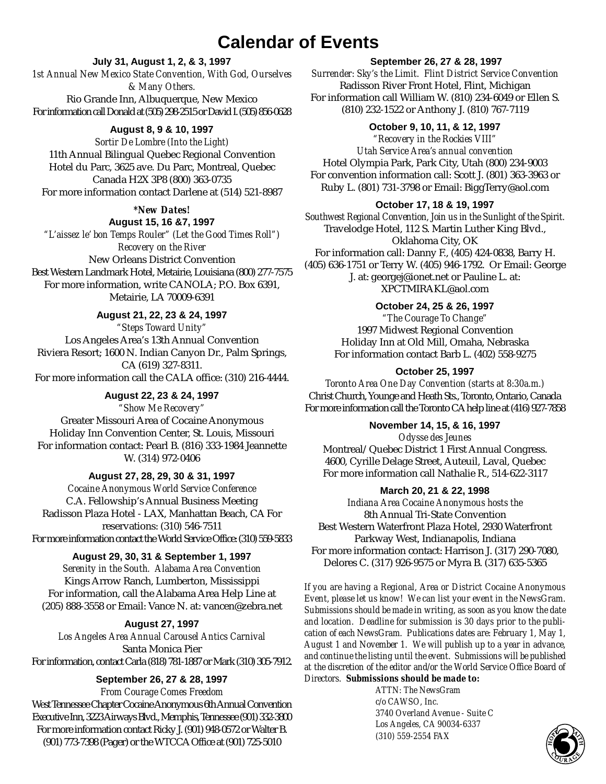### **Calendar of Events**

**July 31, August 1, 2, & 3, 1997**

*1st Annual New Mexico State Convention, With God, Ourselves & Many Others.* Rio Grande Inn, Albuquerque, New Mexico For information call Donald at (505) 298-2515 or David I. (505) 856-0628

#### **August 8, 9 & 10, 1997**

*Sortir De Lombre (Into the Light)* 11th Annual Bilingual Quebec Regional Convention Hotel du Parc, 3625 ave. Du Parc, Montreal, Quebec Canada H2X 3P8 (800) 363-0735 For more information contact Darlene at (514) 521-8987

> *\*New Dates!* **August 15, 16 &7, 1997**

*"L'aissez le' bon Temps Rouler" (Let the Good Times Roll") Recovery on the River* New Orleans District Convention Best Western Landmark Hotel, Metairie, Louisiana (800) 277-7575 For more information, write CANOLA; P.O. Box 6391, Metairie, LA 70009-6391

#### **August 21, 22, 23 & 24, 1997**

*"Steps Toward Unity"* Los Angeles Area's 13th Annual Convention Riviera Resort; 1600 N. Indian Canyon Dr., Palm Springs, CA (619) 327-8311. For more information call the CALA office: (310) 216-4444.

**August 22, 23 & 24, 1997** *"Show Me Recovery"* Greater Missouri Area of Cocaine Anonymous Holiday Inn Convention Center, St. Louis, Missouri For information contact: Pearl B. (816) 333-1984 Jeannette W. (314) 972-0406

**August 27, 28, 29, 30 & 31, 1997** *Cocaine Anonymous World Service Conference* C.A. Fellowship's Annual Business Meeting Radisson Plaza Hotel - LAX, Manhattan Beach, CA For reservations: (310) 546-7511 For more information contact the World Service Office: (310) 559-5833

#### **August 29, 30, 31 & September 1, 1997**

*Serenity in the South. Alabama Area Convention* Kings Arrow Ranch, Lumberton, Mississippi For information, call the Alabama Area Help Line at (205) 888-3558 or Email: Vance N. at: vancen@zebra.net

#### **August 27, 1997**

*Los Angeles Area Annual Carousel Antics Carnival* Santa Monica Pier For information, contact Carla (818) 781-1887 or Mark (310) 305-7912.

#### **September 26, 27 & 28, 1997**

*From Courage Comes Freedom* West Tennessee Chapter Cocaine Anonymous 6th Annual Convention Executive Inn, 3223 Airways Blvd., Memphis, Tennessee (901) 332-3800 For more information contact Ricky J. (901) 948-0572 or Walter B. (901) 773-7398 (Pager) or the WTCCAOffice at (901) 725-5010

#### **September 26, 27 & 28, 1997**

*Surrender: Sky's the Limit. Flint District Service Convention* Radisson River Front Hotel, Flint, Michigan For information call William W. (810) 234-6049 or Ellen S. (810) 232-1522 or Anthony J. (810) 767-7119

#### **October 9, 10, 11, & 12, 1997**

*"Recovery in the Rockies VIII" Utah Service Area's annual convention* Hotel Olympia Park, Park City, Utah (800) 234-9003 For convention information call: Scott J. (801) 363-3963 or Ruby L. (801) 731-3798 or Email: BiggTerry@aol.com

#### **October 17, 18 & 19, 1997**

*Southwest Regional Convention, Join us in the Sunlight of the Spirit.* Travelodge Hotel, 112 S. Martin Luther King Blvd., Oklahoma City, OK For information call: Danny F., (405) 424-0838, Barry H. (405) 636-1751 or Terry W. (405) 946-1792. Or Email: George J. at: georgej@ionet.net or Pauline L. at: XPCTMIRAKL@aol.com

#### **October 24, 25 & 26, 1997**

*"The Courage To Change"* 1997 Midwest Regional Convention Holiday Inn at Old Mill, Omaha, Nebraska For information contact Barb L. (402) 558-9275

#### **October 25, 1997**

*Toronto Area One Day Convention (starts at 8:30a.m.)* Christ Church, Younge and Heath Sts., Toronto, Ontario, Canada For more information call the Toronto CAhelp line at (416) 927-7858

#### **November 14, 15, & 16, 1997**

*Odysse des Jeunes* Montreal/Quebec District 1 First Annual Congress. 4600, Cyrille Delage Street, Auteuil, Laval, Quebec For more information call Nathalie R., 514-622-3117

#### **March 20, 21 & 22, 1998**

*Indiana Area Cocaine Anonymous hosts the*  8th Annual Tri-State Convention Best Western Waterfront Plaza Hotel, 2930 Waterfront Parkway West, Indianapolis, Indiana For more information contact: Harrison J. (317) 290-7080, Delores C. (317) 926-9575 or Myra B. (317) 635-5365

*If you are having a Regional, Area or District Cocaine Anonymous Event, please let us know! We can list your event in the NewsGram. Submissions should be made in writing, as soon as you know the date and location. Deadline for submission is 30 days prior to the publication of each NewsGram. Publications dates are: February 1, May 1, August 1 and November 1. We will publish up to a year in advance, and continue the listing until the event. Submissions will be published at the discretion of the editor and/or the World Service Office Board of*

#### *Directors. Submissions should be made to:*

*ATTN: The NewsGram c/o CAWSO, Inc. 3740 Overland Avenue - Suite C Los Angeles, CA 90034-6337 (310) 559-2554 FAX*

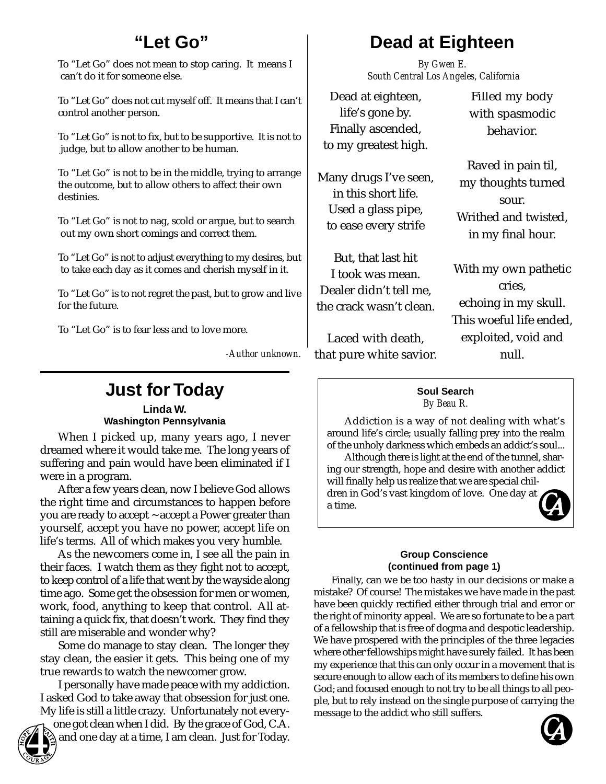### **"Let Go"**

To "Let Go" does not mean to stop caring. It means I can't do it for someone else.

To "Let Go" does not cut myself off. It means that I can't control another person.

To "Let Go" is not to fix, but to be supportive. It is not to judge, but to allow another to be human.

To "Let Go" is not to be in the middle, trying to arrange the outcome, but to allow others to affect their own destinies.

To "Let Go" is not to nag, scold or argue, but to search out my own short comings and correct them.

To "Let Go" is not to adjust everything to my desires, but to take each day as it comes and cherish myself in it.

To "Let Go" is to not regret the past, but to grow and live for the future.

To "Let Go" is to fear less and to love more.

*-Author unknown.*

### **Just for Today**

**Linda W. Washington Pennsylvania**

When I picked up, many years ago, I never dreamed where it would take me. The long years of suffering and pain would have been eliminated if I were in a program.

After a few years clean, now I believe God allows the right time and circumstances to happen before you are ready to accept ~ accept a Power greater than yourself, accept you have no power, accept life on life's terms. All of which makes you very humble.

As the newcomers come in, I see all the pain in their faces. I watch them as they fight not to accept, to keep control of a life that went by the wayside along time ago. Some get the obsession for men or women, work, food, anything to keep that control. All attaining a quick fix, that doesn't work. They find they still are miserable and wonder why?

Some do manage to stay clean. The longer they stay clean, the easier it gets. This being one of my true rewards to watch the newcomer grow.

I personally have made peace with my addiction. I asked God to take away that obsession for just one. My life is still a little crazy. Unfortunately not every-

one got clean when I did. By the grace of God, C.A. and one day at a time, I am clean. Just for Today.

*By Gwen E. South Central Los Angeles, California*

Dead at eighteen, life's gone by. Finally ascended, to my greatest high.

Many drugs I've seen, in this short life. Used a glass pipe, to ease every strife

But, that last hit I took was mean. Dealer didn't tell me, the crack wasn't clean.

Laced with death, that pure white savior.

Filled my body with spasmodic behavior.

Raved in pain til, my thoughts turned sour. Writhed and twisted, in my final hour.

With my own pathetic cries, echoing in my skull. This woeful life ended, exploited, void and null.

#### **Soul Search** *By Beau R.*

Addiction is a way of not dealing with what's around life's circle; usually falling prey into the realm of the unholy darkness which embeds an addict's soul...

Although there is light at the end of the tunnel, sharing our strength, hope and desire with another addict will finally help us realize that we are special children in God's vast kingdom of love. One day at

a time.



#### **Group Conscience (continued from page 1)**

Finally, can we be too hasty in our decisions or make a mistake? Of course! The mistakes we have made in the past have been quickly rectified either through trial and error or the right of minority appeal. We are so fortunate to be a part of a fellowship that is free of dogma and despotic leadership. We have prospered with the principles of the three legacies where other fellowships might have surely failed. It has been my experience that this can only occur in a movement that is secure enough to allow each of its members to define his own God; and focused enough to not try to be all things to all people, but to rely instead on the single purpose of carrying the message to the addict who still suffers.

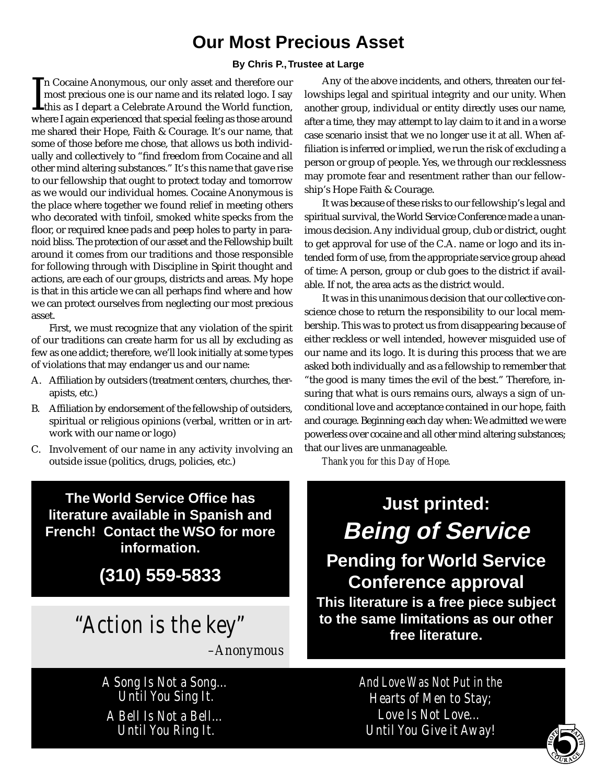### **Our Most Precious Asset**

#### **By Chris P.,Trustee at Large**

 $\prod_{wh}$ n Cocaine Anonymous, our only asset and therefore our most precious one is our name and its related logo. I say this as I depart a Celebrate Around the World function, where I again experienced that special feeling as those around me shared their Hope, Faith & Courage. It's our name, that some of those before me chose, that allows us both individually and collectively to "find freedom from Cocaine and all other mind altering substances." It's this name that gave rise to our fellowship that ought to protect today and tomorrow as we would our individual homes. Cocaine Anonymous is the place where together we found relief in meeting others who decorated with tinfoil, smoked white specks from the floor, or required knee pads and peep holes to party in paranoid bliss. The protection of our asset and the Fellowship built around it comes from our traditions and those responsible for following through with Discipline in Spirit thought and actions, are each of our groups, districts and areas. My hope is that in this article we can all perhaps find where and how we can protect ourselves from neglecting our most precious asset.

First, we must recognize that any violation of the spirit of our traditions can create harm for us all by excluding as few as one addict; therefore, we'll look initially at some types of violations that may endanger us and our name:

- A. Affiliation by outsiders (treatment centers, churches, therapists, etc.)
- B. Affiliation by endorsement of the fellowship of outsiders, spiritual or religious opinions (verbal, written or in artwork with our name or logo)
- C. Involvement of our name in any activity involving an outside issue (politics, drugs, policies, etc.)

**The World Service Office has literature available in Spanish and French! Contact the WSO for more information.**

**(310) 559-5833**

## "Action is the key"

*–Anonymous*

A Song Is Not a Song… Until You Sing It. A Bell Is Not a Bell… Until You Ring It.

Any of the above incidents, and others, threaten our fellowships legal and spiritual integrity and our unity. When another group, individual or entity directly uses our name, after a time, they may attempt to lay claim to it and in a worse case scenario insist that we no longer use it at all. When affiliation is inferred or implied, we run the risk of excluding a person or group of people. Yes, we through our recklessness may promote fear and resentment rather than our fellowship's Hope Faith & Courage.

It was because of these risks to our fellowship's legal and spiritual survival, the World Service Conference made a unanimous decision. Any individual group, club or district, ought to get approval for use of the C.A. name or logo and its intended form of use, from the appropriate service group ahead of time: A person, group or club goes to the district if available. If not, the area acts as the district would.

It was in this unanimous decision that our collective conscience chose to return the responsibility to our local membership. This was to protect us from disappearing because of either reckless or well intended, however misguided use of our name and its logo. It is during this process that we are asked both individually and as a fellowship to remember that "the good is many times the evil of the best." Therefore, insuring that what is ours remains ours, always a sign of unconditional love and acceptance contained in our hope, faith and courage. Beginning each day when: We admitted we were powerless over cocaine and all other mind altering substances; that our lives are unmanageable.

*Thank you for this Day of Hope.*

# **Just printed: Being of Service**

**Pending for World Service Conference approval This literature is a free piece subject**

**to the same limitations as our other free literature.**

> And Love Was Not Put in the Hearts of Men to Stay; Love Is Not Love… Until You Give it Away!

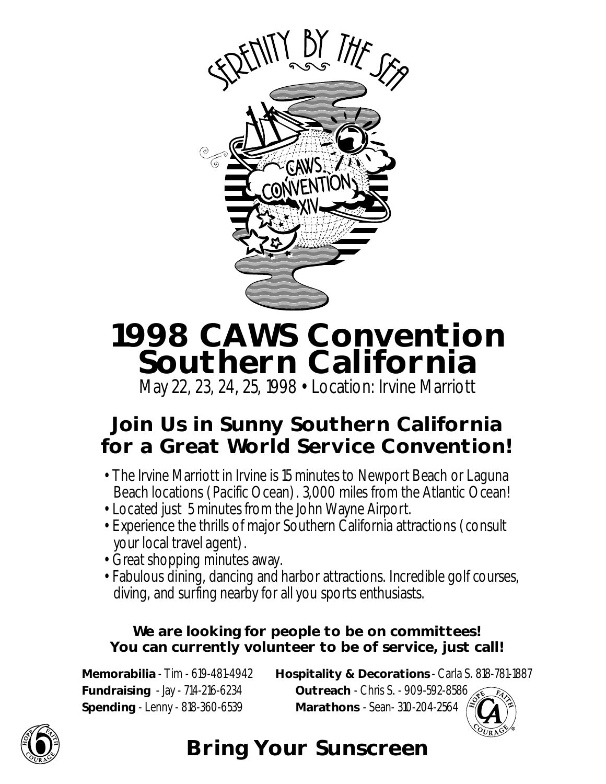

# **1998 CAWS Convention Southern California**

May 22, 23, 24, 25, 1998 • Location: Irvine Marriott

## **Join Us in Sunny Southern California for a Great World Service Convention!**

- The Irvine Marriott in Irvine is 15 minutes to Newport Beach or Laguna Beach locations (Pacific Ocean). 3,000 miles from the Atlantic Ocean!
- Located just 5 minutes from the John Wayne Airport.
- Experience the thrills of major Southern California attractions (consult your local travel agent).
- Great shopping minutes away.
- Fabulous dining, dancing and harbor attractions. Incredible golf courses, diving, and surfing nearby for all you sports enthusiasts.

### **We are looking for people to be on committees! You can currently volunteer to be of service, just call!**

**Spending** - Lenny - 818-360-6539 **Marathons** - Sean- 310-204-2564

**Memorabilia** - Tim - 619-481-4942 **Hospitality & Decorations** - Carla S. 818-781-1887 **Fundraising** - Jay - 714-216-6234 **Outreach** - Chris S. - 909-592-8586





## **Bring Your Sunscreen**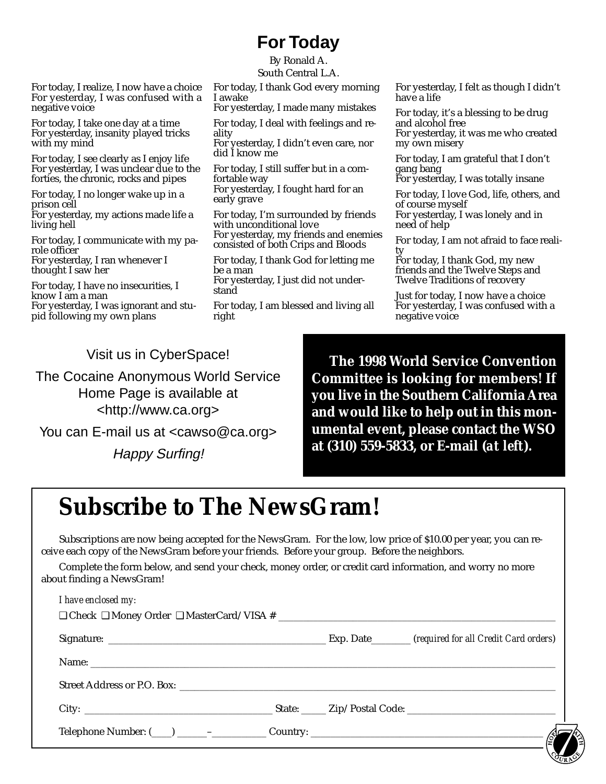## **For Today**

By Ronald A. South Central L.A.

For today, I thank God every morning I awake

For yesterday, I made many mistakes

For today, I deal with feelings and reality

For yesterday, I didn't even care, nor did I know me

For today, I still suffer but in a comfortable way

For yesterday, I fought hard for an early grave

For today, I'm surrounded by friends with unconditional love For yesterday, my friends and enemies consisted of both Crips and Bloods

For today, I thank God for letting me be a man

For yesterday, I just did not understand

For today, I am blessed and living all right

For yesterday, I felt as though I didn't have a life

For today, it's a blessing to be drug and alcohol free For yesterday, it was me who created my own misery

For today, I am grateful that I don't gang bang

For yesterday, I was totally insane

For today, I love God, life, others, and of course myself For yesterday, I was lonely and in need of help

For today, I am not afraid to face reality

For today, I thank God, my new friends and the Twelve Steps and Twelve Traditions of recovery

Just for today, I now have a choice For yesterday, I was confused with a negative voice

Visit us in CyberSpace!

For today, I realize, I now have a choice For yesterday, I was confused with a

For today, I take one day at a time For yesterday, insanity played tricks

For today, I see clearly as I enjoy life For yesterday, I was unclear due to the forties, the chronic, rocks and pipes For today, I no longer wake up in a

For yesterday, my actions made life a

For today, I communicate with my pa-

For yesterday, I ran whenever I

pid following my own plans

For today, I have no insecurities, I

For yesterday, I was ignorant and stu-

negative voice

with my mind

prison cell

living hell

role officer

thought I saw her

know I am a man

The Cocaine Anonymous World Service Home Page is available at <http://www.ca.org>

You can E-mail us at <cawso@ca.org>

Happy Surfing!

**The 1998 World Service Convention Committee is looking for members! If you live in the Southern California Area and would like to help out in this monumental event, please contact the WSO at (310) 559-5833, or E-mail (***at left***).**

## **Subscribe to The NewsGram!**

Subscriptions are now being accepted for the NewsGram. For the low, low price of \$10.00 per year, you can receive each copy of the NewsGram before your friends. Before your group. Before the neighbors.

Complete the form below, and send your check, money order, or credit card information, and worry no more about finding a NewsGram!

| I have enclosed my: |  |  |
|---------------------|--|--|
|                     |  |  |
|                     |  |  |
|                     |  |  |
|                     |  |  |
|                     |  |  |